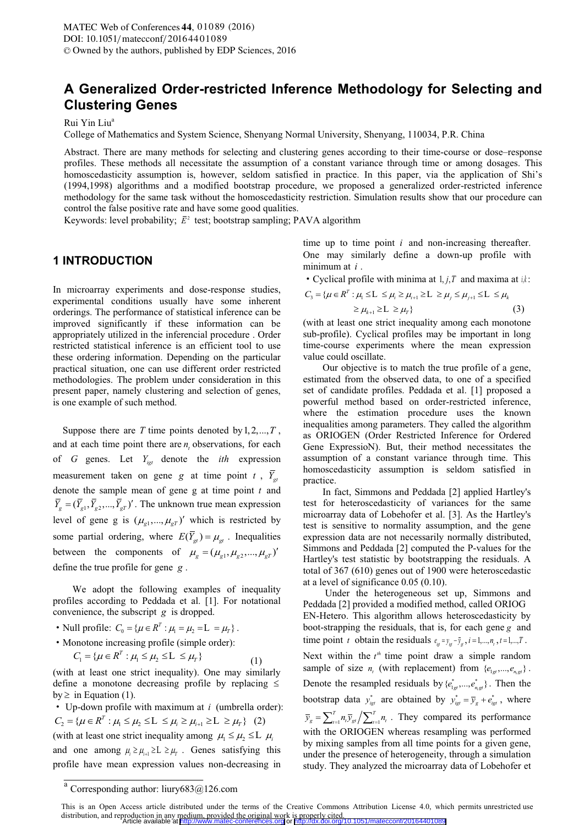# **A Generalized Order-restricted Inference Methodology for Selecting and Clustering Genes**

Rui Yin Liu<sup>a</sup>

College of Mathematics and System Science, Shenyang Normal University, Shenyang, 110034, P.R. China

Abstract. There are many methods for selecting and clustering genes according to their time-course or dose–response profiles. These methods all necessitate the assumption of a constant variance through time or among dosages. This homoscedasticity assumption is, however, seldom satisfied in practice. In this paper, via the application of Shi's (1994,1998) algorithms and a modified bootstrap procedure, we proposed a generalized order-restricted inference methodology for the same task without the homoscedasticity restriction. Simulation results show that our procedure can control the false positive rate and have some good qualities.

Keywords: level probability;  $\bar{E}^2$  test; bootstrap sampling; PAVA algorithm

### **1 INTRODUCTION**

In microarray experiments and dose-response studies, experimental conditions usually have some inherent orderings. The performance of statistical inference can be improved significantly if these information can be appropriately utilized in the inferencial procedure . Order restricted statistical inference is an efficient tool to use these ordering information. Depending on the particular practical situation, one can use different order restricted methodologies. The problem under consideration in this present paper, namely clustering and selection of genes, is one example of such method.

Suppose there are *T* time points denoted by  $1, 2, ..., T$ , and at each time point there are  $n_i$  observations, for each  $\hat{a}$ of *<sup>G</sup>* genes. Let *Yigt* denote the *ith* expression measurement taken on gene *g* at time point *t*,  $\overline{Y}_{gt}$ denote the sample mean of gene g at time point *t* and  $\overline{Y}_g = (\overline{Y}_{g1}, \overline{Y}_{g2}, ..., \overline{Y}_{gT})'$ . The unknown true mean expression level of gene g is  $(\mu_{g1}, ..., \mu_{gT})'$  which is restricted by some partial ordering, where  $E(\overline{Y}_{gt}) = \mu_{gt}$ . Inequalities between the components of  $\mu_g = (\mu_{g1}, \mu_{g2}, ..., \mu_{gT})'$ define the true profile for gene *<sup>g</sup>* .

 We adopt the following examples of inequality profiles according to Peddada et al. [1]. For notational convenience, the subscript *g* is dropped.

- Null profile:  $C_0 = {\mu \in R^T : \mu_1 = \mu_2 = L = \mu_r}.$
- Monotone increasing profile (simple order):

 $C_1 = {\mu \in R^T : \mu_1 \leq \mu_2 \leq L \leq \mu_r}$  (1)

(with at least one strict inequality). One may similarly define a monotone decreasing profile by replacing by  $\geq$  in Equation (1).

• Up-down profile with maximum at *i* (umbrella order):  $C_2 = {\mu \in R^T : \mu_1 \leq \mu_2 \leq L \leq \mu_i \geq \mu_{i+1} \geq L \geq \mu_r}$  (2) (with at least one strict inequality among  $\mu_1 \le \mu_2 \le L$   $\mu_i$ and one among  $\mu_i \ge \mu_{i+1} \ge L \ge \mu_{i}$ . Genes satisfying this profile have mean expression values non-decreasing in

time up to time point *i* and non-increasing thereafter. One may similarly define a down-up profile with minimum at *i* .

• Cyclical profile with minima at  $1, j, T$  and maxima at  $i, k$ .

$$
C_{3} = \{ \mu \in \mathbb{R}^{T} : \mu_{1} \leq L \leq \mu_{i} \geq \mu_{i+1} \geq L \geq \mu_{j} \leq \mu_{j+1} \leq L \leq \mu_{k} \geq \mu_{k+1} \geq L \geq \mu_{T} \}
$$
\n
$$
\geq \mu_{k+1} \geq L \geq \mu_{T} \}
$$
\n(3)

(with at least one strict inequality among each monotone sub-profile). Cyclical profiles may be important in long time-course experiments where the mean expression value could oscillate.

 Our objective is to match the true profile of a gene, estimated from the observed data, to one of a specified set of candidate profiles. Peddada et al. [1] proposed a powerful method based on order-restricted inference, where the estimation procedure uses the known inequalities among parameters. They called the algorithm as ORIOGEN (Order Restricted Inference for Ordered Gene ExpressioN). But, their method necessitates the assumption of a constant variance through time. This homoscedasticity assumption is seldom satisfied in practice.

 In fact, Simmons and Peddada [2] applied Hartley's test for heteroscedasticity of variances for the same microarray data of Lobehofer et al. [3]. As the Hartley's test is sensitive to normality assumption, and the gene expression data are not necessarily normally distributed, Simmons and Peddada [2] computed the P-values for the Hartley's test statistic by bootstrapping the residuals. A total of 367 (610) genes out of 1900 were heteroscedastic at a level of significance 0.05 (0.10).

 Under the heterogeneous set up, Simmons and Peddada [2] provided a modified method, called ORIOG EN-Hetero. This algorithm allows heteroscedasticity by boot-strapping the residuals, that is, for each gene *g* and time point *t* obtain the residuals  $e_{jet} = y_{jet} - \overline{y}_{gt}$ ,  $i = 1,...,n_t$ ,  $t = 1,...,T$ . Next within the  $t^h$  time point draw a simple random sample of size  $n_t$  (with replacement) from  $\{e_{1gt},...,e_{n,gt}\}\$ . Denote the resampled residuals by  $\{e_{ig}^*,...,e_{n,gt}^*\}$ . Then the bootstrap data  $y_{ij}^*$  are obtained by  $y_{ij}^* = \overline{y}_g + e_{ij}^*$ , where  $\overline{y}_g = \sum_{t=1}^T n_t \overline{y}_{gt} / \sum_{t=1}^T n_t$ . They compared its performance with the ORIOGEN whereas resampling was performed by mixing samples from all time points for a given gene, under the presence of heterogeneity, through a simulation study. They analyzed the microarray data of Lobehofer et

<sup>&</sup>lt;sup>a</sup> Corresponding author: liury683@126.com

This is an Open Access article distributed under the terms of the Creative Commons Attribution License 4.0, which permits unrestricted use distribution, and reproduction in any medium, provided the original work is properly cited.<br>Article available at <http://www.matec-conferences.org> or <http://dx.doi.org/10.1051/matecconf/20164401089>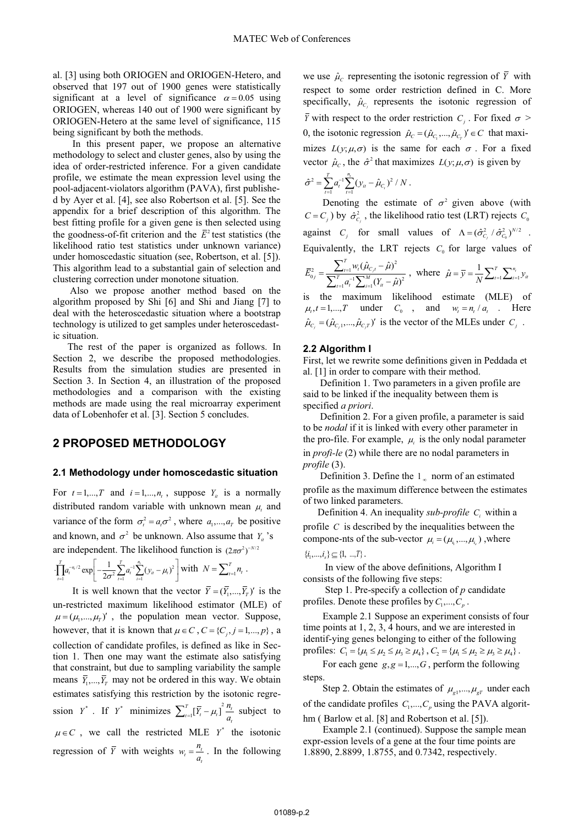al. [3] using both ORIOGEN and ORIOGEN-Hetero, and observed that 197 out of 1900 genes were statistically significant at a level of significance  $\alpha = 0.05$  using ORIOGEN, whereas 140 out of 1900 were significant by ORIOGEN-Hetero at the same level of significance, 115 being significant by both the methods.

 In this present paper, we propose an alternative methodology to select and cluster genes, also by using the idea of order-restricted inference. For a given candidate profile, we estimate the mean expression level using the pool-adjacent-violators algorithm (PAVA), first published by Ayer et al. [4], see also Robertson et al. [5]. See the appendix for a brief description of this algorithm. The best fitting profile for a given gene is then selected using the goodness-of-fit criterion and the  $\overline{E}^2$  test statistics (the likelihood ratio test statistics under unknown variance) under homoscedastic situation (see, Robertson, et al. [5]). This algorithm lead to a substantial gain of selection and clustering correction under monotone situation.

 Also we propose another method based on the algorithm proposed by Shi [6] and Shi and Jiang [7] to deal with the heteroscedastic situation where a bootstrap technology is utilized to get samples under heteroscedastic situation.

 The rest of the paper is organized as follows. In Section 2, we describe the proposed methodologies. Results from the simulation studies are presented in Section 3. In Section 4, an illustration of the proposed methodologies and a comparison with the existing methods are made using the real microarray experiment data of Lobenhofer et al. [3]. Section 5 concludes.

### **2 PROPOSED METHODOLOGY**

#### **2.1 Methodology under homoscedastic situation**

For  $t = 1, \dots, T$  and  $i = 1, \dots, n_t$ , suppose  $Y_i$  is a normally distributed random variable with unknown mean  $\mu_t$  and variance of the form  $\sigma_t^2 = a_r \sigma^2$ , where  $a_1, \dots, a_r$  be positive and known, and  $\sigma^2$  be unknown. Also assume that *Y<sub>i</sub>* 's are independent. The likelihood function is  $(2\pi\sigma^2)^{-N/2}$ 

$$
\left[\prod_{i=1}^{T} a_i^{-n_i/2} \exp\left[-\frac{1}{2\sigma^2} \sum_{i=1}^{T} a_i^{-1} \sum_{i=1}^{n_i} (y_i - \mu_i)^2\right] \text{with } N = \sum_{i=1}^{T} n_i.
$$

It is well known that the vector  $\overline{Y} = (\overline{Y}_1, ..., \overline{Y}_T)'$  is the un-restricted maximum likelihood estimator (MLE) of  $\mu = (\mu_1, ..., \mu_T)'$ , the population mean vector. Suppose, however, that it is known that  $\mu \in C$ ,  $C = \{C_i, j = 1, ..., p\}$ , a collection of candidate profiles, is defined as like in Section 1. Then one may want the estimate also satisfying that constraint, but due to sampling variability the sample means  $\bar{Y}_1, ..., \bar{Y}_T$  may not be ordered in this way. We obtain estimates satisfying this restriction by the isotonic regression  $Y^*$ . If  $Y^*$  minimizes  $\sum_{t=1}^T [\overline{Y}_t - \mu_t]^2 \frac{n_t}{a_t}$  subject to  $\mu \in C$ , we call the restricted MLE Y<sup>\*</sup> the isotonic regression of  $\overline{Y}$  with weights  $w_t = \frac{n_t}{a_t}$  $w_t = \frac{n_t}{a_t}$ . In the following we use  $\hat{\mu}_c$  representing the isotonic regression of  $\bar{Y}$  with respect to some order restriction defined in C. More specifically,  $\hat{\mu}_{C_j}$  represents the isotonic regression of  $\overline{Y}$  with respect to the order restriction  $C_i$ . For fixed  $\sigma >$ 0, the isotonic regression  $\hat{\mu}_C = (\hat{\mu}_{C_1},...,\hat{\mu}_{C_r})' \in C$  that maximizes  $L(y; \mu, \sigma)$  is the same for each  $\sigma$ . For a fixed vector  $\hat{\mu}_c$ , the  $\hat{\sigma}^2$  that maximizes  $L(y; \mu, \sigma)$  is given by

$$
\hat{\sigma}^2 = \sum_{t=1}^T a_t^{-1} \sum_{t=1}^{n_t} (y_{it} - \hat{\mu}_{C_t})^2 / N.
$$

Denoting the estimate of  $\sigma^2$  given above (with  $C = C_i$ ) by  $\hat{\sigma}_{C_i}^2$ , the likelihood ratio test (LRT) rejects  $C_0$ against  $C_j$  for small values of  $\Lambda = (\hat{\sigma}_{C_j}^2 / \hat{\sigma}_{C_0}^2)^{N/2}$ . Equivalently, the LRT rejects  $C_0$  for large values of

$$
\bar{E}_{0j}^{2} = \frac{\sum_{t=1}^{T} w_{t} (\hat{\mu}_{C_{j}t} - \hat{\mu})^{2}}{\sum_{t=1}^{T} a_{t}^{-1} \sum_{i=1}^{M} (Y_{it} - \hat{\mu})^{2}}, \text{ where } \hat{\mu} = \bar{y} = \frac{1}{N} \sum_{t=1}^{T} \sum_{i=1}^{n_{t}} y_{it}
$$

is the maximum likelihood estimate (MLE) of  $\mu_t, t = 1, \dots, T$  under  $C_0$ , and  $w_t = n_t / a_t$ . Here  $\hat{\mu}_{C_j} = (\hat{\mu}_{C_j1},...,\hat{\mu}_{C_jT})'$  is the vector of the MLEs under  $C_j$ .

### **2.2 Algorithm I**

First, let we rewrite some definitions given in Peddada et al. [1] in order to compare with their method.

 Definition 1. Two parameters in a given profile are said to be linked if the inequality between them is specified *a priori*.

 Definition 2. For a given profile, a parameter is said to be *nodal* if it is linked with every other parameter in the pro-file. For example,  $\mu_i$  is the only nodal parameter in *profi-le* (2) while there are no nodal parameters in *profile* (3).

Definition 3. Define the  $l_{\infty}$  norm of an estimated profile as the maximum difference between the estimates of two linked parameters.

Definition 4. An inequality *sub-profile C<sub>i</sub>* within a profile  $C$  is described by the inequalities between the compone-nts of the sub-vector  $\mu_i = (\mu_i, ..., \mu_i)$ , where

 $\{i_1, ..., i_s\} \subseteq \{1, ..., T\}$ .

 In view of the above definitions, Algorithm I consists of the following five steps:

 Step 1. Pre-specify a collection of *p* candidate profiles. Denote these profiles by  $C_1, ..., C_p$ .

 Example 2.1 Suppose an experiment consists of four time points at 1, 2, 3, 4 hours, and we are interested in identif-ying genes belonging to either of the following profiles:  $C_1 = {\mu_1 \le \mu_2 \le \mu_3 \ge \mu_4}$ ,  $C_2 = {\mu_1 \le \mu_2 \ge \mu_3 \ge \mu_4}$ .

For each gene  $g, g = 1, \dots, G$ , perform the following steps.

Step 2. Obtain the estimates of  $\mu_{g1},...,\mu_{gT}$  under each of the candidate profiles  $C_1, \ldots, C_p$  using the PAVA algorit-

hm (Barlow et al. [8] and Robertson et al. [5]). Example 2.1 (continued). Suppose the sample mean expr-ession levels of a gene at the four time points are 1.8890, 2.8899, 1.8755, and 0.7342, respectively.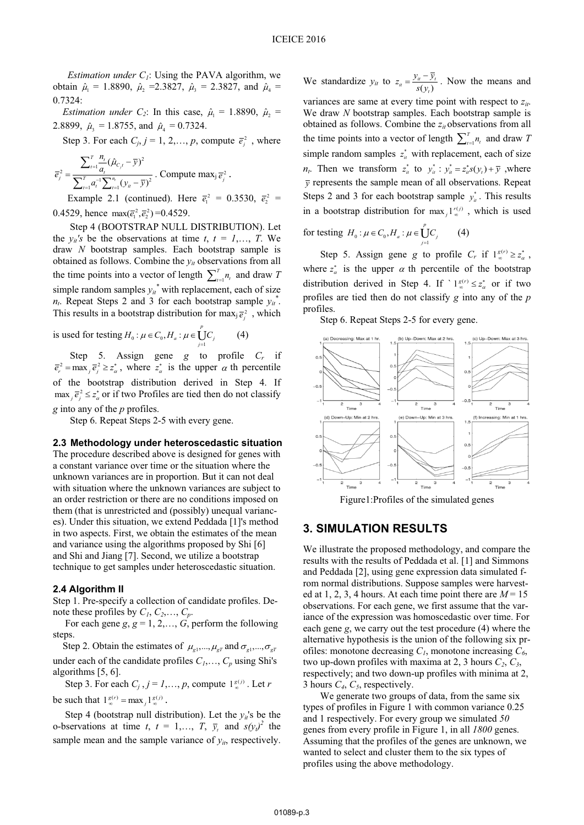*Estimation under*  $C_1$ *:* Using the PAVA algorithm, we obtain  $\hat{\mu}_1 = 1.8890$ ,  $\hat{\mu}_2 = 2.3827$ ,  $\hat{\mu}_3 = 2.3827$ , and  $\hat{\mu}_4 =$ 0.7324:

*Estimation under C<sub>2</sub>*: In this case,  $\hat{\mu}_1 = 1.8890$ ,  $\hat{\mu}_2 =$ 2.8899,  $\hat{\mu}_3 = 1.8755$ , and  $\hat{\mu}_4 = 0.7324$ .

Step 3. For each  $C_j$ ,  $j = 1, 2, \dots, p$ , compute  $\overline{e}_j^2$ , where

$$
\overline{e}_{j}^{2} = \frac{\sum_{t=1}^{T} \frac{n_{t}}{a_{t}} (\hat{\mu}_{C_{j}t} - \overline{y})^{2}}{\sum_{t=1}^{T} a_{t}^{-1} \sum_{t=1}^{n_{t}} (y_{it} - \overline{y})^{2}}. \text{ Compute max}_{j} \overline{e}_{j}^{2}.
$$

Example 2.1 (continued). Here  $\bar{e}_1^2 = 0.3530$ ,  $\bar{e}_2^2 =$ 0.4529, hence  $\max(\bar{e}_1^2, \bar{e}_2^2) = 0.4529$ .

 Step 4 (BOOTSTRAP NULL DISTRIBUTION). Let the  $y_{it}$ 's be the observations at time  $t, t = 1,..., T$ . We draw *N* bootstrap samples. Each bootstrap sample is obtained as follows. Combine the  $y_{it}$  observations from all the time points into a vector of length  $\sum_{i=1}^{T} n_i$  and draw *T* simple random samples  $y_{it}^*$  with replacement, each of size  $n_t$ . Repeat Steps 2 and 3 for each bootstrap sample  $y_t^*$ . This results in a bootstrap distribution for  $\max_j \overline{e}_j^2$ , which

is used for testing  $H_0: \mu \in C_0, H_a: \mu \in \bigcup_{j=1}^n$  $H_0: \mu \in C_0, H_a: \mu \in \dot{U}_j C_j$  (4)

Step 5. Assign gene *g* to profile  $C_r$  if  $\overline{e}_r^2 = \max_j \overline{e}_j^2 \ge z_\alpha^*$ , where  $z_\alpha^*$  is the upper  $\alpha$  th percentile of the bootstrap distribution derived in Step 4. If  $\max_{i} \overline{e}_{i}^{2} \le z_{\alpha}^{*}$  or if two Profiles are tied then do not classify *g* into any of the *p* profiles.

Step 6. Repeat Steps 2-5 with every gene.

### **2.3 Methodology under heteroscedastic situation**

The procedure described above is designed for genes with a constant variance over time or the situation where the unknown variances are in proportion. But it can not deal with situation where the unknown variances are subject to an order restriction or there are no conditions imposed on them (that is unrestricted and (possibly) unequal variances). Under this situation, we extend Peddada [1]'s method in two aspects. First, we obtain the estimates of the mean and variance using the algorithms proposed by Shi [6] and Shi and Jiang [7]. Second, we utilize a bootstrap technique to get samples under heteroscedastic situation.

#### **2.4 Algorithm II**

Step 1. Pre-specify a collection of candidate profiles. Denote these profiles by  $C_1, C_2, \ldots, C_p$ .

For each gene  $g$ ,  $g = 1, 2, \dots, G$ , perform the following steps.

Step 2. Obtain the estimates of  $\mu_{g1},...,\mu_{gT}$  and  $\sigma_{g1},...,\sigma_{gT}$ under each of the candidate profiles  $C_1, \ldots, C_p$  using Shi's algorithms [5, 6].

Step 3. For each  $C_j$ ,  $j = 1, \ldots, p$ , compute  $1_{\infty}^{g(j)}$ . Let *r* be such that  $1_{\infty}^{g(r)} = \max_{j} 1_{\infty}^{g(j)}$ .

Step 4 (bootstrap null distribution). Let the  $v_i$ 's be the o-bservations at time *t*,  $t = 1,..., T$ ,  $\overline{y}_t$  and  $s(y_t)^2$  the sample mean and the sample variance of  $y_{it}$ , respectively.

We standardize  $y_{it}$  to  $z_{it} = \frac{y_{it} - y_{it}}{s(y_t)}$  $z_{it} = \frac{\sqrt{u} + \sqrt{y}}{s(y_t)}$  $=\frac{y_u - \overline{y}_t}{\overline{y}_t}$ . Now the means and

variances are same at every time point with respect to  $z_{it}$ . We draw *N* bootstrap samples. Each bootstrap sample is obtained as follows. Combine the  $z_{it}$  observations from all the time points into a vector of length  $\sum_{t=1}^{T} n_t$  and draw *T* simple random samples  $z_i^*$  with replacement, each of size *n<sub>t</sub>*. Then we transform  $z_n^*$  to  $y_n^*$ :  $y_n^* = z_n^* s(y_t) + \overline{y}$ , where  $\bar{y}$  represents the sample mean of all observations. Repeat Steps 2 and 3 for each bootstrap sample  $y_n^*$ . This results in a bootstrap distribution for  $\max_j \frac{I^{r(j)}}{2}$ , which is used

for testing 
$$
H_0: \mu \in C_0, H_a: \mu \in \bigcup_{j=1}^{\nu} C_j
$$
 (4)

Step 5. Assign gene *g* to profile  $C_r$  if  $1_g^{g(r)} \ge z_\alpha^*$ , where  $z^*_{\alpha}$  is the upper  $\alpha$  th percentile of the bootstrap distribution derived in Step 4. If  $\bigcup_{\infty}^{\infty} z_{\alpha}^{*}$  or if two profiles are tied then do not classify *g* into any of the *p* profiles.

Step 6. Repeat Steps 2-5 for every gene.



Figure1:Profiles of the simulated genes

### **3. SIMULATION RESULTS**

We illustrate the proposed methodology, and compare the results with the results of Peddada et al. [1] and Simmons and Peddada [2], using gene expression data simulated from normal distributions. Suppose samples were harvested at 1, 2, 3, 4 hours. At each time point there are  $M = 15$ observations. For each gene, we first assume that the variance of the expression was homoscedastic over time. For each gene *g*, we carry out the test procedure (4) where the alternative hypothesis is the union of the following six profiles: monotone decreasing  $C_1$ , monotone increasing  $C_6$ , two up-down profiles with maxima at 2, 3 hours  $C_2$ ,  $C_3$ , respectively; and two down-up profiles with minima at 2, 3 hours *C4*, *C5*, respectively.

 We generate two groups of data, from the same six types of profiles in Figure 1 with common variance 0.25 and 1 respectively. For every group we simulated *50* genes from every profile in Figure 1, in all *1800* genes. Assuming that the profiles of the genes are unknown, we wanted to select and cluster them to the six types of profiles using the above methodology.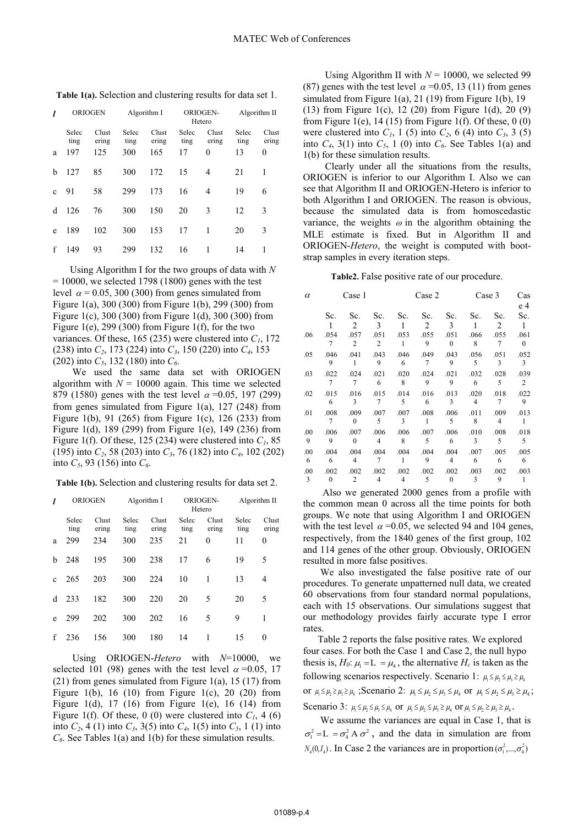|              | <b>ORIOGEN</b> |                | Algorithm I   |                | ORIOGEN-<br>Hetero |                | Algorithm II  |                |
|--------------|----------------|----------------|---------------|----------------|--------------------|----------------|---------------|----------------|
|              | Selec<br>ting  | Clust<br>ering | Selec<br>ting | Clust<br>ering | Selec<br>ting      | Clust<br>ering | Selec<br>ting | Clust<br>ering |
| a            | 197            | 125            | 300           | 165            | 17                 | $\theta$       | 13            | 0              |
| b            | 127            | 85             | 300           | 172            | 15                 | 4              | 21            | 1              |
| $\mathbf{C}$ | 91             | 58             | 299           | 173            | 16                 | 4              | 19            | 6              |
| d            | 126            | 76             | 300           | 150            | 20                 | 3              | 12            | 3              |
| e            | 189            | 102            | 300           | 153            | 17                 | 1              | 20            | 3              |
| f            | 149            | 93             | 299           | 132            | 16                 | 1              | 14            |                |

**Table 1(a).** Selection and clustering results for data set 1.

 Using Algorithm I for the two groups of data with *N*  $= 10000$ , we selected 1798 (1800) genes with the test level  $\alpha$  = 0.05, 300 (300) from genes simulated from Figure 1(a), 300 (300) from Figure 1(b), 299 (300) from Figure 1(c), 300 (300) from Figure 1(d), 300 (300) from Figure 1(e), 299 (300) from Figure 1(f), for the two variances. Of these, 165 (235) were clustered into  $C<sub>1</sub>$ , 172 (238) into *C2*, 173 (224) into *C3*, 150 (220) into *C4*, 153 (202) into  $C_5$ , 132 (180) into  $C_6$ .

 We used the same data set with ORIOGEN algorithm with  $N = 10000$  again. This time we selected 879 (1580) genes with the test level  $\alpha = 0.05, 197$  (299) from genes simulated from Figure 1(a), 127 (248) from Figure 1(b), 91 (265) from Figure 1(c), 126 (233) from Figure 1(d), 189 (299) from Figure 1(e), 149 (236) from Figure 1(f). Of these, 125 (234) were clustered into  $C_1$ , 85 (195) into *C2*, 58 (203) into *C3*, 76 (182) into *C4*, 102 (202) into  $C_5$ , 93 (156) into  $C_6$ .

**Table 1(b).** Selection and clustering results for data set 2.

|              | <b>ORIOGEN</b> |                | Algorithm I   |                | ORIOGEN-<br>Hetero |                | Algorithm II  |                  |
|--------------|----------------|----------------|---------------|----------------|--------------------|----------------|---------------|------------------|
|              | Selec<br>ting  | Clust<br>ering | Selec<br>ting | Clust<br>ering | Selec<br>ting      | Clust<br>ering | Selec<br>ting | Clust<br>ering   |
| a            | 299            | 234            | 300           | 235            | 21                 | $\theta$       | 11            | $\boldsymbol{0}$ |
| b            | 248            | 195            | 300           | 238            | 17                 | 6              | 19            | 5                |
| $\mathbf{c}$ | 265            | 203            | 300           | 224            | 10                 | 1              | 13            | 4                |
| d            | 233            | 182            | 300           | 220            | 20                 | 5              | 20            | 5                |
| e            | 299            | 202            | 300           | 202            | 16                 | 5              | 9             | 1                |
| f            | 236            | 156            | 300           | 180            | 14                 | 1              | 15            | $\theta$         |

 Using ORIOGEN-*Hetero* with *N*=10000, we selected 101 (98) genes with the test level  $\alpha$  =0.05, 17  $(21)$  from genes simulated from Figure 1(a), 15 (17) from Figure 1(b), 16 (10) from Figure 1(c), 20 (20) from Figure 1(d), 17 (16) from Figure 1(e), 16 (14) from Figure 1(f). Of these, 0 (0) were clustered into  $C<sub>1</sub>$ , 4 (6) into  $C_2$ , 4 (1) into  $C_3$ , 3(5) into  $C_4$ , 1(5) into  $C_5$ , 1(1) into *C*<sub>6</sub>. See Tables 1(a) and 1(b) for these simulation results.

Using Algorithm II with  $N = 10000$ , we selected 99 (87) genes with the test level  $\alpha$  =0.05, 13 (11) from genes simulated from Figure 1(a), 21 (19) from Figure 1(b), 19 (13) from Figure 1(c), 12 (20) from Figure 1(d), 20 (9) from Figure 1(e), 14 (15) from Figure 1(f). Of these,  $0(0)$ were clustered into  $C_1$ , 1 (5) into  $C_2$ , 6 (4) into  $C_3$ , 3 (5) into  $C_4$ , 3(1) into  $C_5$ , 1 (0) into  $C_6$ . See Tables 1(a) and 1(b) for these simulation results.

 Clearly under all the situations from the results, ORIOGEN is inferior to our Algorithm I. Also we can see that Algorithm II and ORIOGEN-Hetero is inferior to both Algorithm I and ORIOGEN. The reason is obvious, because the simulated data is from homoscedastic variance, the weights  $\omega$  in the algorithm obtaining the MLE estimate is fixed. But in Algorithm II and ORIOGEN-*Hetero*, the weight is computed with bootstrap samples in every iteration steps.

**Table2.** False positive rate of our procedure.

| $\alpha$ |          | Case 1         |                |      | Case 2       |                |                | Case 3         | Cas            |
|----------|----------|----------------|----------------|------|--------------|----------------|----------------|----------------|----------------|
|          | Sc.      | Sc.            | Sc.            | Sc.  | Sc.          | Sc.            | Sc.            | Sc.            | e 4<br>Sc.     |
|          |          | 2              | 3              | 1    | 2            | 3              | 1              | 2              | $\overline{1}$ |
| .06      | .054     | .057           | .051           | .053 | .055         | .051           | .066           | .055           | .061           |
|          | 7        | 2              | 2              | 1    | 9            | $\mathbf{0}$   | 8              | 7              | $\mathbf{0}$   |
| .05      | .046     | .041           | .043           | .046 | .049         | .043           | .056           | .051           | .052           |
|          | 9        | -1             | 9              | 6    | 7            | 9              | 5              | 3              | 3              |
| .03      | .022     | .024           | .021           | .020 | .024         | .021           | .032           | .028           | .039           |
|          | $\tau$   | $\overline{7}$ | 6              | 8    | 9            | 9              | 6              | 5              | 2              |
| .02      | .015     | .016           | .015           | .014 | .016         | .013           | .020           | .018           | .022           |
|          | 6        | 3              | 7              | 5    | 6            | 3              | $\overline{4}$ | 7              | 9              |
| .01      | .008     | .009           | .007           | .007 | .008         | .006           | .011           | .009           | .013           |
|          | 7        | $\Omega$       | 5              | 3    | $\mathbf{1}$ | 5              | 8              | $\overline{4}$ | 1              |
| .00      | .006     | .007           | .006           | .006 | .007         | .006           | .010           | .008           | .018           |
| 9        | 9        | $\Omega$       | $\overline{4}$ | 8    | 5            | 6              | 3              | 5              | 5              |
| .00      | .004     | .004           | .004           | .004 | .004         | .004           | .007           | .005           | .005           |
| 6        | 6        | 4              | 7              | 1    | 9            | $\overline{4}$ | 6              | 6              | 6              |
| .00      | .002     | .002           | .002           | .002 | .002         | .002           | .003           | .002           | .003           |
| 3        | $\Omega$ | $\overline{c}$ | 4              | 4    | 5            | $\theta$       | 3              | 9              | 1              |

 Also we generated 2000 genes from a profile with the common mean 0 across all the time points for both groups. We note that using Algorithm I and ORIOGEN with the test level  $\alpha$  =0.05, we selected 94 and 104 genes, respectively, from the 1840 genes of the first group, 102 and 114 genes of the other group. Obviously, ORIOGEN resulted in more false positives.

 We also investigated the false positive rate of our procedures. To generate unpatterned null data, we created 60 observations from four standard normal populations, each with 15 observations. Our simulations suggest that our methodology provides fairly accurate type I error rates.

 Table 2 reports the false positive rates. We explored four cases. For both the Case 1 and Case 2, the null hypo thesis is,  $H_0$ :  $\mu_1 = L = \mu_4$ , the alternative  $H_c$  is taken as the following scenarios respectively. Scenario 1:  $\mu_1 \leq \mu_2 \leq \mu_3 \geq \mu_4$ or  $\mu_1 \leq \mu_2 \geq \mu_3 \geq \mu_4$ ; Scenario 2:  $\mu_1 \leq \mu_2 \leq \mu_3 \leq \mu_4$  or  $\mu_1 \leq \mu_2 \leq \mu_3 \geq \mu_4$ ; Scenario 3:  $\mu_1 \leq \mu_2 \leq \mu_3 \leq \mu_4$  or  $\mu_1 \leq \mu_2 \leq \mu_3 \geq \mu_4$  or  $\mu_1 \leq \mu_2 \geq \mu_3 \geq \mu_4$ .

 We assume the variances are equal in Case 1, that is  $\sigma_1^2 = L = \sigma_4^2 A \sigma^2$ , and the data in simulation are from  $N_4(0, I_4)$ . In Case 2 the variances are in proportion  $(\sigma_1^2, ..., \sigma_4^2)$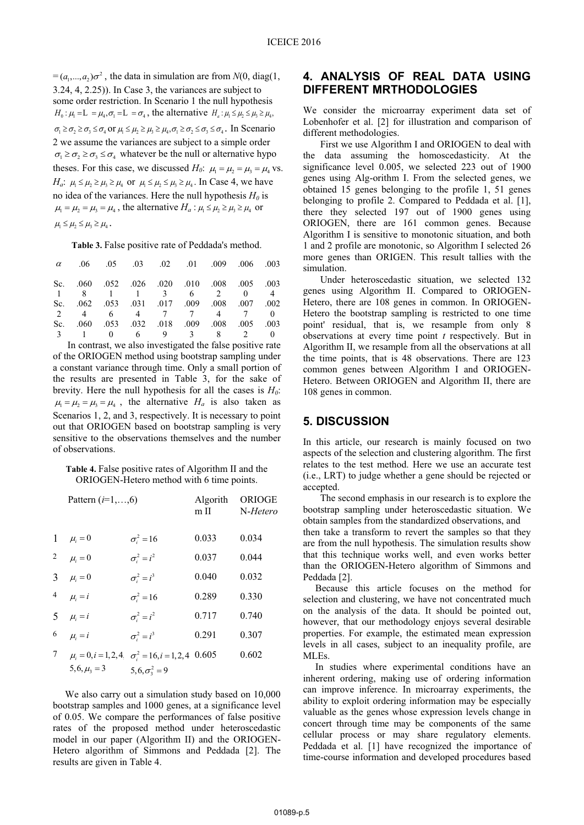$=(a_1,...,a_2)\sigma^2$ , the data in simulation are from *N*(0, diag(1, 3.24, 4, 2.25)). In Case 3, the variances are subject to some order restriction. In Scenario 1 the null hypothesis  $H_0: \mu_1 = \mathbb{L} = \mu_A, \sigma_1 = \mathbb{L} = \sigma_A$ , the alternative  $H_a: \mu_1 \leq \mu_2 \leq \mu_3 \geq \mu_A$ ,  $\sigma_1 \geq \sigma_2 \geq \sigma_3 \leq \sigma_4$  or  $\mu_1 \leq \mu_2 \geq \mu_3 \geq \mu_4, \sigma_1 \geq \sigma_2 \leq \sigma_3 \leq \sigma_4$ . In Scenario 2 we assume the variances are subject to a simple order  $\sigma_1 \geq \sigma_2 \geq \sigma_3 \leq \sigma_4$  whatever be the null or alternative hypo theses. For this case, we discussed  $H_0$ :  $\mu_1 = \mu_2 = \mu_3 = \mu_4$  vs. *H<sub>a</sub>*:  $\mu_1 \leq \mu_2 \geq \mu_3 \geq \mu_4$  or  $\mu_1 \leq \mu_2 \leq \mu_3 \geq \mu_4$ . In Case 4, we have no idea of the variances. Here the null hypothesis  $H_0$  is  $\mu_1 = \mu_2 = \mu_3 = \mu_4$ , the alternative  $H_a$ :  $\mu_1 \le \mu_2 \ge \mu_3 \ge \mu_4$  or  $\mu_1 \leq \mu_2 \leq \mu_3 \geq \mu_4$ .

**Table 3.** False positive rate of Peddada's method.

|  | $\alpha$ .06 .05 .03 .02 .01 .009 .006 .003 |  |  |  |
|--|---------------------------------------------|--|--|--|
|  | Sc. 060 .052 .026 .020 .010 .008 .005 .003  |  |  |  |
|  | 1 8 1 1 3 6 2 0 4                           |  |  |  |
|  | Sc. 062 .053 .031 .017 .009 .008 .007 .002  |  |  |  |
|  | 2 4 6 4 7 7 4 7 0                           |  |  |  |
|  | Sc. 060 053 032 0.08 0.09 0.08 0.05 0.03    |  |  |  |
|  | 3 1 0 6 9 3 8 2 0                           |  |  |  |
|  |                                             |  |  |  |

 In contrast, we also investigated the false positive rate of the ORIOGEN method using bootstrap sampling under a constant variance through time. Only a small portion of the results are presented in Table 3, for the sake of brevity. Here the null hypothesis for all the cases is  $H<sub>0</sub>$ :  $\mu_1 = \mu_2 = \mu_3 = \mu_4$ , the alternative  $H_a$  is also taken as Scenarios 1, 2, and 3, respectively. It is necessary to point out that ORIOGEN based on bootstrap sampling is very sensitive to the observations themselves and the number of observations.

#### **Table 4.** False positive rates of Algorithm II and the ORIOGEN-Hetero method with 6 time points.

|   | Pattern $(i=1,\ldots,6)$ |                                                               | Algorith<br>$m$ II | <b>ORIOGE</b><br>N-Hetero |
|---|--------------------------|---------------------------------------------------------------|--------------------|---------------------------|
|   | 1 $\mu_i = 0$            | $\sigma_i^2 = 16$                                             | 0.033              | 0.034                     |
|   | 2 $\mu_i = 0$            | $\sigma_i^2 = i^2$                                            | 0.037              | 0.044                     |
|   | 3 $\mu_i = 0$            | $\sigma_i^2 = i^3$                                            | 0.040              | 0.032                     |
|   | 4 $\mu_i = i$            | $\sigma_i^2 = 16$                                             | 0.289              | 0.330                     |
|   | 5 $\mu_i = i$            | $\sigma_i^2 = i^2$                                            | 0.717              | 0.740                     |
| 6 | $\mu_i = i$              | $\sigma_i^2 = i^3$                                            | 0.291              | 0.307                     |
| 7 |                          | $\mu_i = 0, i = 1, 2, 4$ $\sigma_i^2 = 16, i = 1, 2, 4$ 0.605 |                    | 0.602                     |
|   | $5, 6, \mu_{2} = 3$      | $5, 6, \sigma_3^2 = 9$                                        |                    |                           |

 We also carry out a simulation study based on 10,000 bootstrap samples and 1000 genes, at a significance level of 0.05. We compare the performances of false positive rates of the proposed method under heteroscedastic model in our paper (Algorithm II) and the ORIOGEN-Hetero algorithm of Simmons and Peddada [2]. The results are given in Table 4.

## **4. ANALYSIS OF REAL DATA USING DIFFERENT MRTHODOLOGIES**

We consider the microarray experiment data set of Lobenhofer et al. [2] for illustration and comparison of different methodologies.

 First we use Algorithm I and ORIOGEN to deal with the data assuming the homoscedasticity. At the significance level 0.005, we selected 223 out of 1900 genes using Alg-orithm I. From the selected genes, we obtained 15 genes belonging to the profile 1, 51 genes belonging to profile 2. Compared to Peddada et al. [1], there they selected 197 out of 1900 genes using ORIOGEN, there are 161 common genes. Because Algorithm I is sensitive to monotonic situation, and both 1 and 2 profile are monotonic, so Algorithm I selected 26 more genes than ORIGEN. This result tallies with the simulation.

 Under heteroscedastic situation, we selected 132 genes using Algorithm II. Compared to ORIOGEN-Hetero, there are 108 genes in common. In ORIOGEN-Hetero the bootstrap sampling is restricted to one time point' residual, that is, we resample from only 8 observations at every time point *t* respectively. But in Algorithm II, we resample from all the observations at all the time points, that is 48 observations. There are 123 common genes between Algorithm I and ORIOGEN-Hetero. Between ORIOGEN and Algorithm II, there are 108 genes in common.

## **5. DISCUSSION**

In this article, our research is mainly focused on two aspects of the selection and clustering algorithm. The first relates to the test method. Here we use an accurate test (i.e., LRT) to judge whether a gene should be rejected or accepted.

 The second emphasis in our research is to explore the bootstrap sampling under heteroscedastic situation. We obtain samples from the standardized observations, and

then take a transform to revert the samples so that they are from the null hypothesis. The simulation results show that this technique works well, and even works better than the ORIOGEN-Hetero algorithm of Simmons and Peddada [2].

 Because this article focuses on the method for selection and clustering, we have not concentrated much on the analysis of the data. It should be pointed out, however, that our methodology enjoys several desirable properties. For example, the estimated mean expression levels in all cases, subject to an inequality profile, are MLEs.

 In studies where experimental conditions have an inherent ordering, making use of ordering information can improve inference. In microarray experiments, the ability to exploit ordering information may be especially valuable as the genes whose expression levels change in concert through time may be components of the same cellular process or may share regulatory elements. Peddada et al. [1] have recognized the importance of time-course information and developed procedures based